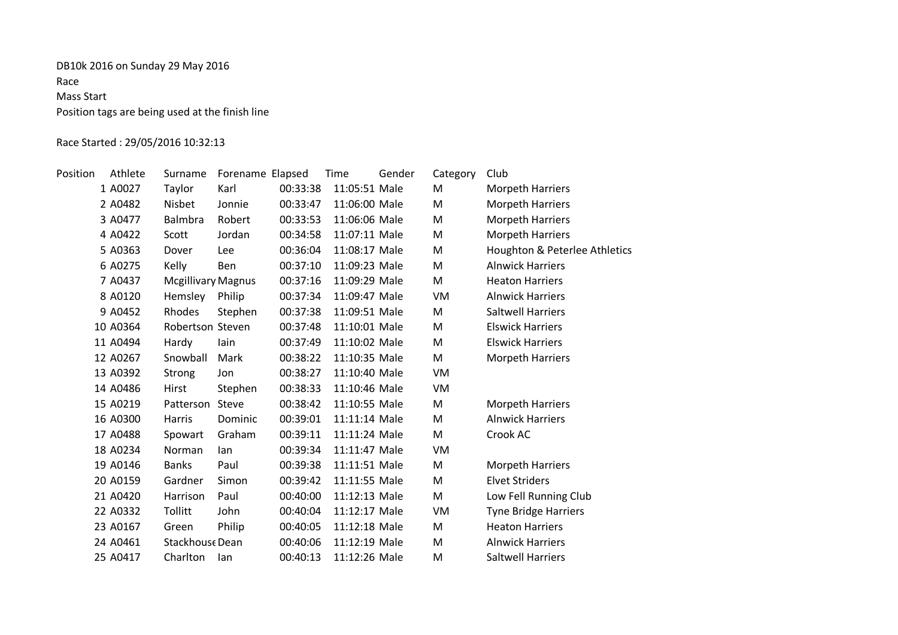# DB10k 2016 on Sunday 29 May 2016 Race Mass Start Position tags are being used at the finish line

# Race Started : 29/05/2016 10:32:13

| Position | Athlete  | Surname                   | Forename Elapsed |          | Time          | Gender | Category | Club                          |
|----------|----------|---------------------------|------------------|----------|---------------|--------|----------|-------------------------------|
|          | 1 A0027  | Taylor                    | Karl             | 00:33:38 | 11:05:51 Male |        | M        | <b>Morpeth Harriers</b>       |
|          | 2 A0482  | Nisbet                    | Jonnie           | 00:33:47 | 11:06:00 Male |        | M        | <b>Morpeth Harriers</b>       |
|          | 3 A0477  | Balmbra                   | Robert           | 00:33:53 | 11:06:06 Male |        | M        | <b>Morpeth Harriers</b>       |
|          | 4 A0422  | Scott                     | Jordan           | 00:34:58 | 11:07:11 Male |        | M        | <b>Morpeth Harriers</b>       |
|          | 5 A0363  | Dover                     | Lee              | 00:36:04 | 11:08:17 Male |        | M        | Houghton & Peterlee Athletics |
|          | 6 A0275  | Kelly                     | <b>Ben</b>       | 00:37:10 | 11:09:23 Male |        | M        | <b>Alnwick Harriers</b>       |
|          | 7 A0437  | <b>Mcgillivary Magnus</b> |                  | 00:37:16 | 11:09:29 Male |        | M        | <b>Heaton Harriers</b>        |
|          | 8 A0120  | Hemsley                   | Philip           | 00:37:34 | 11:09:47 Male |        | VM       | <b>Alnwick Harriers</b>       |
|          | 9 A0452  | Rhodes                    | Stephen          | 00:37:38 | 11:09:51 Male |        | M        | <b>Saltwell Harriers</b>      |
|          | 10 A0364 | Robertson Steven          |                  | 00:37:48 | 11:10:01 Male |        | M        | <b>Elswick Harriers</b>       |
|          | 11 A0494 | Hardy                     | lain             | 00:37:49 | 11:10:02 Male |        | M        | <b>Elswick Harriers</b>       |
|          | 12 A0267 | Snowball                  | Mark             | 00:38:22 | 11:10:35 Male |        | M        | <b>Morpeth Harriers</b>       |
|          | 13 A0392 | Strong                    | Jon              | 00:38:27 | 11:10:40 Male |        | VM       |                               |
|          | 14 A0486 | Hirst                     | Stephen          | 00:38:33 | 11:10:46 Male |        | VM       |                               |
|          | 15 A0219 | Patterson                 | Steve            | 00:38:42 | 11:10:55 Male |        | M        | <b>Morpeth Harriers</b>       |
|          | 16 A0300 | Harris                    | Dominic          | 00:39:01 | 11:11:14 Male |        | M        | <b>Alnwick Harriers</b>       |
|          | 17 A0488 | Spowart                   | Graham           | 00:39:11 | 11:11:24 Male |        | M        | Crook AC                      |
|          | 18 A0234 | Norman                    | lan              | 00:39:34 | 11:11:47 Male |        | VM       |                               |
|          | 19 A0146 | <b>Banks</b>              | Paul             | 00:39:38 | 11:11:51 Male |        | M        | <b>Morpeth Harriers</b>       |
|          | 20 A0159 | Gardner                   | Simon            | 00:39:42 | 11:11:55 Male |        | M        | <b>Elvet Striders</b>         |
|          | 21 A0420 | Harrison                  | Paul             | 00:40:00 | 11:12:13 Male |        | M        | Low Fell Running Club         |
|          | 22 A0332 | Tollitt                   | John             | 00:40:04 | 11:12:17 Male |        | VM       | Tyne Bridge Harriers          |
|          | 23 A0167 | Green                     | Philip           | 00:40:05 | 11:12:18 Male |        | M        | <b>Heaton Harriers</b>        |
|          | 24 A0461 | Stackhouse Dean           |                  | 00:40:06 | 11:12:19 Male |        | M        | <b>Alnwick Harriers</b>       |
|          | 25 A0417 | Charlton                  | lan              | 00:40:13 | 11:12:26 Male |        | M        | <b>Saltwell Harriers</b>      |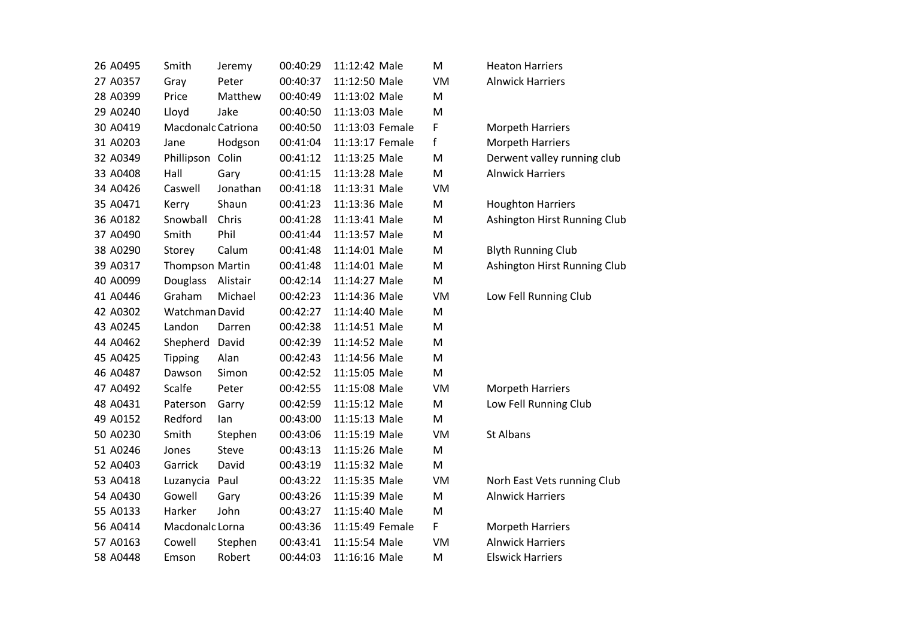| 26 A0495 | Smith                     | Jeremy       | 00:40:29 | 11:12:42 Male   | M  | <b>Heaton Harriers</b>  |
|----------|---------------------------|--------------|----------|-----------------|----|-------------------------|
| 27 A0357 | Gray                      | Peter        | 00:40:37 | 11:12:50 Male   | VM | <b>Alnwick Harriers</b> |
| 28 A0399 | Price                     | Matthew      | 00:40:49 | 11:13:02 Male   | M  |                         |
| 29 A0240 | Lloyd                     | Jake         | 00:40:50 | 11:13:03 Male   | M  |                         |
| 30 A0419 | <b>Macdonalc Catriona</b> |              | 00:40:50 | 11:13:03 Female | F  | <b>Morpeth Harrier</b>  |
| 31 A0203 | Jane                      | Hodgson      | 00:41:04 | 11:13:17 Female | f  | Morpeth Harrier         |
| 32 A0349 | Phillipson Colin          |              | 00:41:12 | 11:13:25 Male   | M  | Derwent valley r        |
| 33 A0408 | Hall                      | Gary         | 00:41:15 | 11:13:28 Male   | M  | <b>Alnwick Harriers</b> |
| 34 A0426 | Caswell                   | Jonathan     | 00:41:18 | 11:13:31 Male   | VM |                         |
| 35 A0471 | Kerry                     | Shaun        | 00:41:23 | 11:13:36 Male   | M  | Houghton Harrie         |
| 36 A0182 | Snowball                  | Chris        | 00:41:28 | 11:13:41 Male   | M  | Ashington Hirst I       |
| 37 A0490 | Smith                     | Phil         | 00:41:44 | 11:13:57 Male   | M  |                         |
| 38 A0290 | Storey                    | Calum        | 00:41:48 | 11:14:01 Male   | M  | <b>Blyth Running Cl</b> |
| 39 A0317 | <b>Thompson Martin</b>    |              | 00:41:48 | 11:14:01 Male   | M  | Ashington Hirst I       |
| 40 A0099 | Douglass                  | Alistair     | 00:42:14 | 11:14:27 Male   | M  |                         |
| 41 A0446 | Graham                    | Michael      | 00:42:23 | 11:14:36 Male   | VM | Low Fell Running        |
| 42 A0302 | Watchman David            |              | 00:42:27 | 11:14:40 Male   | M  |                         |
| 43 A0245 | Landon                    | Darren       | 00:42:38 | 11:14:51 Male   | M  |                         |
| 44 A0462 | Shepherd                  | David        | 00:42:39 | 11:14:52 Male   | M  |                         |
| 45 A0425 | <b>Tipping</b>            | Alan         | 00:42:43 | 11:14:56 Male   | M  |                         |
| 46 A0487 | Dawson                    | Simon        | 00:42:52 | 11:15:05 Male   | M  |                         |
| 47 A0492 | Scalfe                    | Peter        | 00:42:55 | 11:15:08 Male   | VM | <b>Morpeth Harrier</b>  |
| 48 A0431 | Paterson                  | Garry        | 00:42:59 | 11:15:12 Male   | M  | Low Fell Running        |
| 49 A0152 | Redford                   | lan          | 00:43:00 | 11:15:13 Male   | M  |                         |
| 50 A0230 | Smith                     | Stephen      | 00:43:06 | 11:15:19 Male   | VM | St Albans               |
| 51 A0246 | Jones                     | <b>Steve</b> | 00:43:13 | 11:15:26 Male   | M  |                         |
| 52 A0403 | Garrick                   | David        | 00:43:19 | 11:15:32 Male   | M  |                         |
| 53 A0418 | Luzanycia                 | Paul         | 00:43:22 | 11:15:35 Male   | VM | Norh East Vets r        |
| 54 A0430 | Gowell                    | Gary         | 00:43:26 | 11:15:39 Male   | M  | <b>Alnwick Harriers</b> |
| 55 A0133 | Harker                    | John         | 00:43:27 | 11:15:40 Male   | M  |                         |
| 56 A0414 | Macdonalc Lorna           |              | 00:43:36 | 11:15:49 Female | F  | <b>Morpeth Harrier</b>  |
| 57 A0163 | Cowell                    | Stephen      | 00:43:41 | 11:15:54 Male   | VM | <b>Alnwick Harriers</b> |
| 58 A0448 | Emson                     | Robert       | 00:44:03 | 11:16:16 Male   | M  | <b>Elswick Harriers</b> |

| Heaton Harriers  |  |
|------------------|--|
| Alnwick Harriers |  |

Morpeth Harriers Morpeth Harriers Derwent valley running club Alnwick Harriers

Houghton Harriers Ashington Hirst Running Club

Blyth Running Club Ashington Hirst Running Club

Low Fell Running Club

Morpeth Harriers Low Fell Running Club

Norh East Vets running Club Alnwick Harriers

Morpeth Harriers Alnwick Harriers **Elswick Harriers**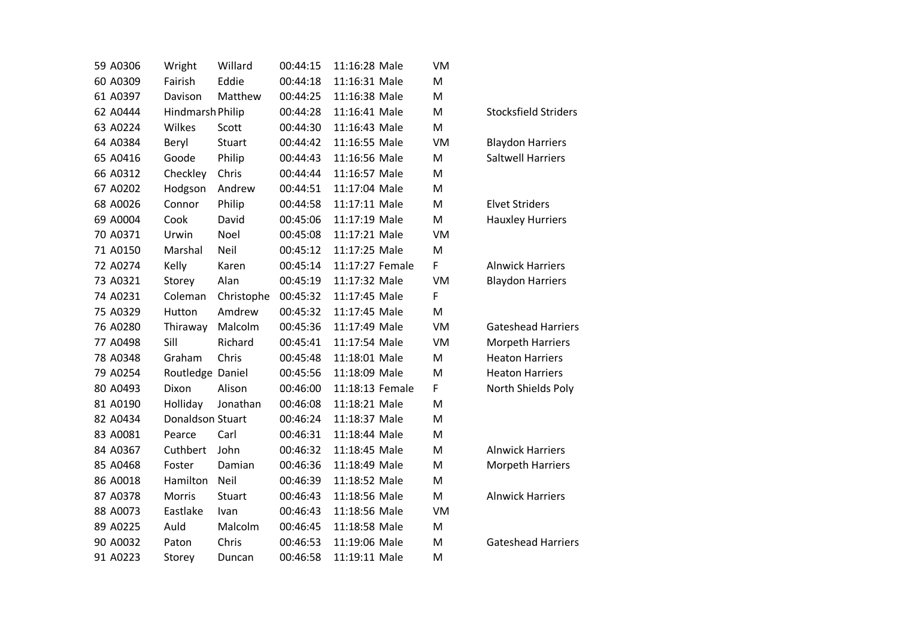| 59 A0306 | Wright           | Willard     | 00:44:15 | 11:16:28 Male   | VM        |                             |
|----------|------------------|-------------|----------|-----------------|-----------|-----------------------------|
| 60 A0309 | Fairish          | Eddie       | 00:44:18 | 11:16:31 Male   | M         |                             |
| 61 A0397 | Davison          | Matthew     | 00:44:25 | 11:16:38 Male   | M         |                             |
| 62 A0444 | Hindmarsh Philip |             | 00:44:28 | 11:16:41 Male   | M         | <b>Stocksfield Striders</b> |
| 63 A0224 | Wilkes           | Scott       | 00:44:30 | 11:16:43 Male   | M         |                             |
| 64 A0384 | Beryl            | Stuart      | 00:44:42 | 11:16:55 Male   | VM        | <b>Blaydon Harriers</b>     |
| 65 A0416 | Goode            | Philip      | 00:44:43 | 11:16:56 Male   | M         | <b>Saltwell Harriers</b>    |
| 66 A0312 | Checkley         | Chris       | 00:44:44 | 11:16:57 Male   | M         |                             |
| 67 A0202 | Hodgson          | Andrew      | 00:44:51 | 11:17:04 Male   | M         |                             |
| 68 A0026 | Connor           | Philip      | 00:44:58 | 11:17:11 Male   | M         | <b>Elvet Striders</b>       |
| 69 A0004 | Cook             | David       | 00:45:06 | 11:17:19 Male   | M         | <b>Hauxley Hurriers</b>     |
| 70 A0371 | Urwin            | Noel        | 00:45:08 | 11:17:21 Male   | VM        |                             |
| 71 A0150 | Marshal          | Neil        | 00:45:12 | 11:17:25 Male   | M         |                             |
| 72 A0274 | Kelly            | Karen       | 00:45:14 | 11:17:27 Female | F         | <b>Alnwick Harriers</b>     |
| 73 A0321 | Storey           | Alan        | 00:45:19 | 11:17:32 Male   | <b>VM</b> | <b>Blaydon Harriers</b>     |
| 74 A0231 | Coleman          | Christophe  | 00:45:32 | 11:17:45 Male   | F         |                             |
| 75 A0329 | Hutton           | Amdrew      | 00:45:32 | 11:17:45 Male   | M         |                             |
| 76 A0280 | Thiraway         | Malcolm     | 00:45:36 | 11:17:49 Male   | VM        | <b>Gateshead Harriers</b>   |
| 77 A0498 | Sill             | Richard     | 00:45:41 | 11:17:54 Male   | VM        | <b>Morpeth Harriers</b>     |
| 78 A0348 | Graham           | Chris       | 00:45:48 | 11:18:01 Male   | M         | <b>Heaton Harriers</b>      |
| 79 A0254 | Routledge Daniel |             | 00:45:56 | 11:18:09 Male   | M         | <b>Heaton Harriers</b>      |
| 80 A0493 | Dixon            | Alison      | 00:46:00 | 11:18:13 Female | F         | North Shields Poly          |
| 81 A0190 | Holliday         | Jonathan    | 00:46:08 | 11:18:21 Male   | M         |                             |
| 82 A0434 | Donaldson Stuart |             | 00:46:24 | 11:18:37 Male   | M         |                             |
| 83 A0081 | Pearce           | Carl        | 00:46:31 | 11:18:44 Male   | M         |                             |
| 84 A0367 | Cuthbert         | John        | 00:46:32 | 11:18:45 Male   | M         | <b>Alnwick Harriers</b>     |
| 85 A0468 | Foster           | Damian      | 00:46:36 | 11:18:49 Male   | M         | <b>Morpeth Harriers</b>     |
| 86 A0018 | Hamilton         | Neil        | 00:46:39 | 11:18:52 Male   | M         |                             |
| 87 A0378 | Morris           | Stuart      | 00:46:43 | 11:18:56 Male   | M         | <b>Alnwick Harriers</b>     |
| 88 A0073 | Eastlake         | <b>Ivan</b> | 00:46:43 | 11:18:56 Male   | VM        |                             |
| 89 A0225 | Auld             | Malcolm     | 00:46:45 | 11:18:58 Male   | M         |                             |
| 90 A0032 | Paton            | Chris       | 00:46:53 | 11:19:06 Male   | M         | <b>Gateshead Harriers</b>   |
| 91 A0223 | Storey           | Duncan      | 00:46:58 | 11:19:11 Male   | M         |                             |

| <b>Stocksfield Striders</b>                                                                                      |
|------------------------------------------------------------------------------------------------------------------|
| <b>Blaydon Harriers</b><br><b>Saltwell Harriers</b>                                                              |
| Elvet Striders<br><b>Hauxley Hurriers</b>                                                                        |
| <b>Alnwick Harriers</b><br><b>Blaydon Harriers</b>                                                               |
| <b>Gateshead Harriers</b><br>Morpeth Harriers<br><b>Heaton Harriers</b><br>Heaton Harriers<br>North Shields Poly |
| <b>Alnwick Harriers</b><br>Morpeth Harriers                                                                      |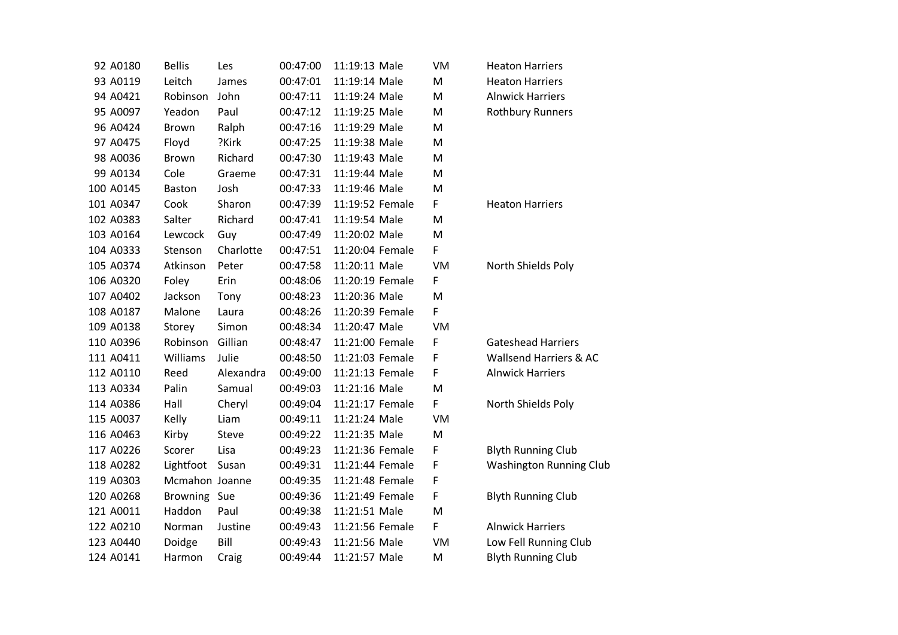| 92 A0180  | <b>Bellis</b>  | Les       | 00:47:00 | 11:19:13 Male   | VM | <b>Heaton Harriers</b>    |
|-----------|----------------|-----------|----------|-----------------|----|---------------------------|
| 93 A0119  | Leitch         | James     | 00:47:01 | 11:19:14 Male   | M  | <b>Heaton Harriers</b>    |
| 94 A0421  | Robinson       | John      | 00:47:11 | 11:19:24 Male   | M  | <b>Alnwick Harriers</b>   |
| 95 A0097  | Yeadon         | Paul      | 00:47:12 | 11:19:25 Male   | M  | <b>Rothbury Runners</b>   |
| 96 A0424  | <b>Brown</b>   | Ralph     | 00:47:16 | 11:19:29 Male   | M  |                           |
| 97 A0475  | Floyd          | ?Kirk     | 00:47:25 | 11:19:38 Male   | M  |                           |
| 98 A0036  | <b>Brown</b>   | Richard   | 00:47:30 | 11:19:43 Male   | M  |                           |
| 99 A0134  | Cole           | Graeme    | 00:47:31 | 11:19:44 Male   | M  |                           |
| 100 A0145 | <b>Baston</b>  | Josh      | 00:47:33 | 11:19:46 Male   | M  |                           |
| 101 A0347 | Cook           | Sharon    | 00:47:39 | 11:19:52 Female | F  | <b>Heaton Harriers</b>    |
| 102 A0383 | Salter         | Richard   | 00:47:41 | 11:19:54 Male   | M  |                           |
| 103 A0164 | Lewcock        | Guy       | 00:47:49 | 11:20:02 Male   | M  |                           |
| 104 A0333 | Stenson        | Charlotte | 00:47:51 | 11:20:04 Female | F  |                           |
| 105 A0374 | Atkinson       | Peter     | 00:47:58 | 11:20:11 Male   | VM | North Shields Poly        |
| 106 A0320 | Foley          | Erin      | 00:48:06 | 11:20:19 Female | F  |                           |
| 107 A0402 | Jackson        | Tony      | 00:48:23 | 11:20:36 Male   | M  |                           |
| 108 A0187 | Malone         | Laura     | 00:48:26 | 11:20:39 Female | F  |                           |
| 109 A0138 | Storey         | Simon     | 00:48:34 | 11:20:47 Male   | VM |                           |
| 110 A0396 | Robinson       | Gillian   | 00:48:47 | 11:21:00 Female | F  | <b>Gateshead Harriers</b> |
| 111 A0411 | Williams       | Julie     | 00:48:50 | 11:21:03 Female | F  | Wallsend Harriers & AC    |
| 112 A0110 | Reed           | Alexandra | 00:49:00 | 11:21:13 Female | F  | <b>Alnwick Harriers</b>   |
| 113 A0334 | Palin          | Samual    | 00:49:03 | 11:21:16 Male   | M  |                           |
| 114 A0386 | Hall           | Cheryl    | 00:49:04 | 11:21:17 Female | F  | North Shields Poly        |
| 115 A0037 | Kelly          | Liam      | 00:49:11 | 11:21:24 Male   | VM |                           |
| 116 A0463 | Kirby          | Steve     | 00:49:22 | 11:21:35 Male   | M  |                           |
| 117 A0226 | Scorer         | Lisa      | 00:49:23 | 11:21:36 Female | F  | <b>Blyth Running Club</b> |
| 118 A0282 | Lightfoot      | Susan     | 00:49:31 | 11:21:44 Female | F  | Washington Running Club   |
| 119 A0303 | Mcmahon Joanne |           | 00:49:35 | 11:21:48 Female | F  |                           |
| 120 A0268 | Browning Sue   |           | 00:49:36 | 11:21:49 Female | F  | <b>Blyth Running Club</b> |
| 121 A0011 | Haddon         | Paul      | 00:49:38 | 11:21:51 Male   | M  |                           |
| 122 A0210 | Norman         | Justine   | 00:49:43 | 11:21:56 Female | F  | <b>Alnwick Harriers</b>   |
| 123 A0440 | Doidge         | Bill      | 00:49:43 | 11:21:56 Male   | VM | Low Fell Running Club     |
| 124 A0141 | Harmon         | Craig     | 00:49:44 | 11:21:57 Male   | M  | <b>Blyth Running Club</b> |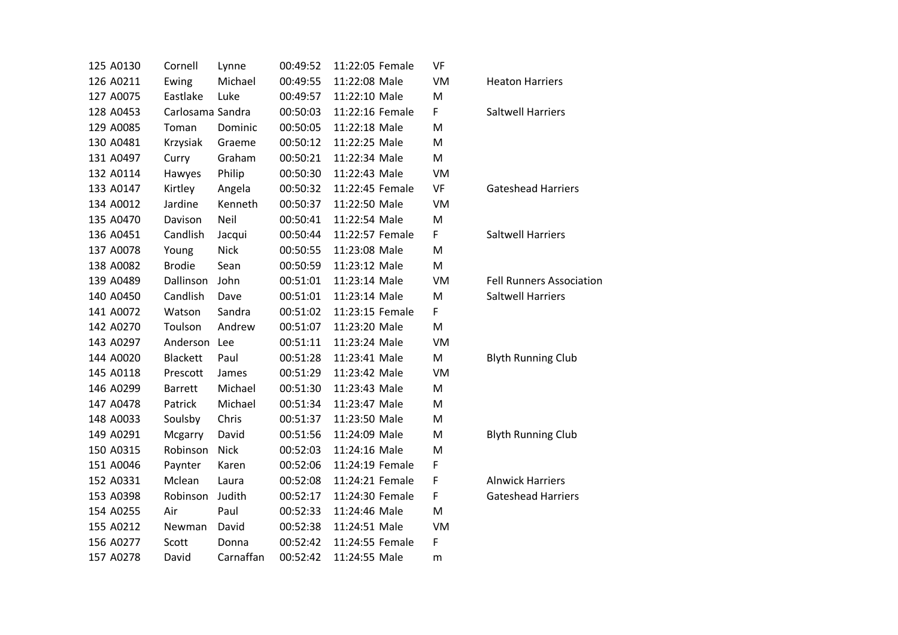| 125 A0130 | Cornell          | Lynne       | 00:49:52 | 11:22:05 Female | VF |                                 |
|-----------|------------------|-------------|----------|-----------------|----|---------------------------------|
| 126 A0211 | Ewing            | Michael     | 00:49:55 | 11:22:08 Male   | VM | <b>Heaton Harriers</b>          |
| 127 A0075 | Eastlake         | Luke        | 00:49:57 | 11:22:10 Male   | M  |                                 |
| 128 A0453 | Carlosama Sandra |             | 00:50:03 | 11:22:16 Female | F  | <b>Saltwell Harriers</b>        |
| 129 A0085 | Toman            | Dominic     | 00:50:05 | 11:22:18 Male   | M  |                                 |
| 130 A0481 | Krzysiak         | Graeme      | 00:50:12 | 11:22:25 Male   | M  |                                 |
| 131 A0497 | Curry            | Graham      | 00:50:21 | 11:22:34 Male   | M  |                                 |
| 132 A0114 | Hawyes           | Philip      | 00:50:30 | 11:22:43 Male   | VM |                                 |
| 133 A0147 | Kirtley          | Angela      | 00:50:32 | 11:22:45 Female | VF | <b>Gateshead Harriers</b>       |
| 134 A0012 | Jardine          | Kenneth     | 00:50:37 | 11:22:50 Male   | VM |                                 |
| 135 A0470 | Davison          | Neil        | 00:50:41 | 11:22:54 Male   | M  |                                 |
| 136 A0451 | Candlish         | Jacqui      | 00:50:44 | 11:22:57 Female | F  | <b>Saltwell Harriers</b>        |
| 137 A0078 | Young            | <b>Nick</b> | 00:50:55 | 11:23:08 Male   | M  |                                 |
| 138 A0082 | <b>Brodie</b>    | Sean        | 00:50:59 | 11:23:12 Male   | M  |                                 |
| 139 A0489 | Dallinson        | John        | 00:51:01 | 11:23:14 Male   | VM | <b>Fell Runners Association</b> |
| 140 A0450 | Candlish         | Dave        | 00:51:01 | 11:23:14 Male   | M  | <b>Saltwell Harriers</b>        |
| 141 A0072 | Watson           | Sandra      | 00:51:02 | 11:23:15 Female | F  |                                 |
| 142 A0270 | Toulson          | Andrew      | 00:51:07 | 11:23:20 Male   | M  |                                 |
| 143 A0297 | Anderson Lee     |             | 00:51:11 | 11:23:24 Male   | VM |                                 |
| 144 A0020 | <b>Blackett</b>  | Paul        | 00:51:28 | 11:23:41 Male   | M  | <b>Blyth Running Club</b>       |
| 145 A0118 | Prescott         | James       | 00:51:29 | 11:23:42 Male   | VM |                                 |
| 146 A0299 | <b>Barrett</b>   | Michael     | 00:51:30 | 11:23:43 Male   | M  |                                 |
| 147 A0478 | Patrick          | Michael     | 00:51:34 | 11:23:47 Male   | M  |                                 |
| 148 A0033 | Soulsby          | Chris       | 00:51:37 | 11:23:50 Male   | M  |                                 |
| 149 A0291 | Mcgarry          | David       | 00:51:56 | 11:24:09 Male   | M  | <b>Blyth Running Club</b>       |
| 150 A0315 | Robinson         | <b>Nick</b> | 00:52:03 | 11:24:16 Male   | M  |                                 |
| 151 A0046 | Paynter          | Karen       | 00:52:06 | 11:24:19 Female | F  |                                 |
| 152 A0331 | Mclean           | Laura       | 00:52:08 | 11:24:21 Female | F  | <b>Alnwick Harriers</b>         |
| 153 A0398 | Robinson         | Judith      | 00:52:17 | 11:24:30 Female | F  | <b>Gateshead Harriers</b>       |
| 154 A0255 | Air              | Paul        | 00:52:33 | 11:24:46 Male   | M  |                                 |
| 155 A0212 | Newman           | David       | 00:52:38 | 11:24:51 Male   | VM |                                 |
| 156 A0277 | Scott            | Donna       | 00:52:42 | 11:24:55 Female | F  |                                 |
| 157 A0278 | David            | Carnaffan   | 00:52:42 | 11:24:55 Male   | m  |                                 |
|           |                  |             |          |                 |    |                                 |

| <b>Saltwell Harriers</b>                                    |
|-------------------------------------------------------------|
| <b>Gateshead Harriers</b>                                   |
| <b>Saltwell Harriers</b>                                    |
| <b>Fell Runners Association</b><br><b>Saltwell Harriers</b> |
| <b>Blyth Running Club</b>                                   |
| <b>Blyth Running Club</b>                                   |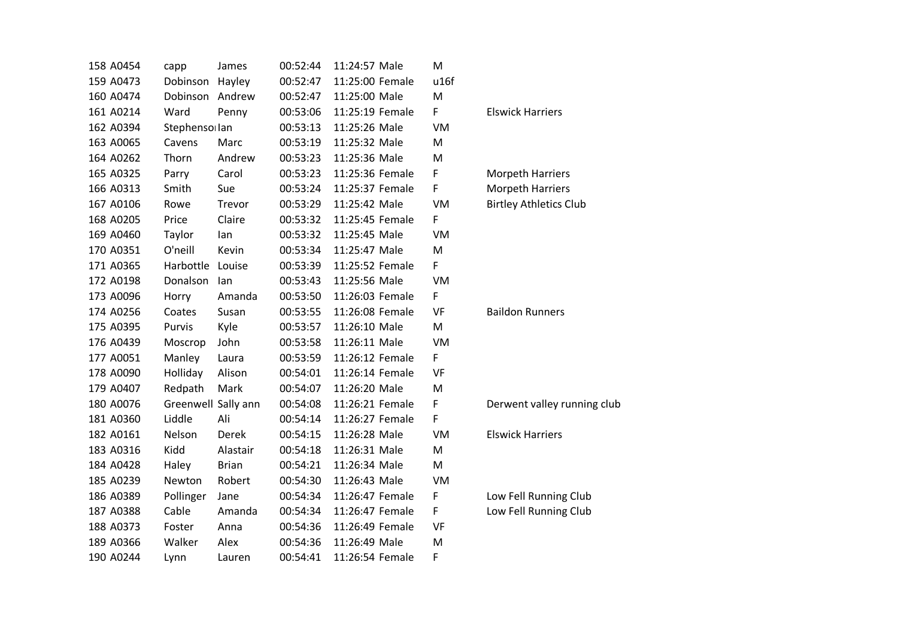| 158 A0454 | capp                | James        | 00:52:44 | 11:24:57 Male   | M    |
|-----------|---------------------|--------------|----------|-----------------|------|
| 159 A0473 | Dobinson            | Hayley       | 00:52:47 | 11:25:00 Female | u16f |
| 160 A0474 | Dobinson            | Andrew       | 00:52:47 | 11:25:00 Male   | M    |
| 161 A0214 | Ward                | Penny        | 00:53:06 | 11:25:19 Female | F    |
| 162 A0394 | Stephensollan       |              | 00:53:13 | 11:25:26 Male   | VM   |
| 163 A0065 | Cavens              | Marc         | 00:53:19 | 11:25:32 Male   | M    |
| 164 A0262 | Thorn               | Andrew       | 00:53:23 | 11:25:36 Male   | M    |
| 165 A0325 | Parry               | Carol        | 00:53:23 | 11:25:36 Female | F    |
| 166 A0313 | Smith               | Sue          | 00:53:24 | 11:25:37 Female | F    |
| 167 A0106 | Rowe                | Trevor       | 00:53:29 | 11:25:42 Male   | VM   |
| 168 A0205 | Price               | Claire       | 00:53:32 | 11:25:45 Female | F    |
| 169 A0460 | Taylor              | lan          | 00:53:32 | 11:25:45 Male   | VM   |
| 170 A0351 | O'neill             | Kevin        | 00:53:34 | 11:25:47 Male   | M    |
| 171 A0365 | Harbottle           | Louise       | 00:53:39 | 11:25:52 Female | F    |
| 172 A0198 | Donalson            | lan          | 00:53:43 | 11:25:56 Male   | VM   |
| 173 A0096 | Horry               | Amanda       | 00:53:50 | 11:26:03 Female | F    |
| 174 A0256 | Coates              | Susan        | 00:53:55 | 11:26:08 Female | VF   |
| 175 A0395 | Purvis              | Kyle         | 00:53:57 | 11:26:10 Male   | M    |
| 176 A0439 | Moscrop             | John         | 00:53:58 | 11:26:11 Male   | VM   |
| 177 A0051 | Manley              | Laura        | 00:53:59 | 11:26:12 Female | F    |
| 178 A0090 | Holliday            | Alison       | 00:54:01 | 11:26:14 Female | VF   |
| 179 A0407 | Redpath             | Mark         | 00:54:07 | 11:26:20 Male   | M    |
| 180 A0076 | Greenwell Sally ann |              | 00:54:08 | 11:26:21 Female | F    |
| 181 A0360 | Liddle              | Ali          | 00:54:14 | 11:26:27 Female | F    |
| 182 A0161 | Nelson              | Derek        | 00:54:15 | 11:26:28 Male   | VM   |
| 183 A0316 | Kidd                | Alastair     | 00:54:18 | 11:26:31 Male   | M    |
| 184 A0428 | Haley               | <b>Brian</b> | 00:54:21 | 11:26:34 Male   | M    |
| 185 A0239 | Newton              | Robert       | 00:54:30 | 11:26:43 Male   | VM   |
| 186 A0389 | Pollinger           | Jane         | 00:54:34 | 11:26:47 Female | F    |
| 187 A0388 | Cable               | Amanda       | 00:54:34 | 11:26:47 Female | F    |
| 188 A0373 | Foster              | Anna         | 00:54:36 | 11:26:49 Female | VF   |
| 189 A0366 | Walker              | Alex         | 00:54:36 | 11:26:49 Male   | M    |
| 190 A0244 | Lynn                | Lauren       | 00:54:41 | 11:26:54 Female | F    |

**Elswick Harriers** 

Morpeth Harriers Morpeth Harriers Birtley Athletics Club

Baildon Runners

Derwent valley running club

**Elswick Harriers** 

Low Fell Running Club Low Fell Running Club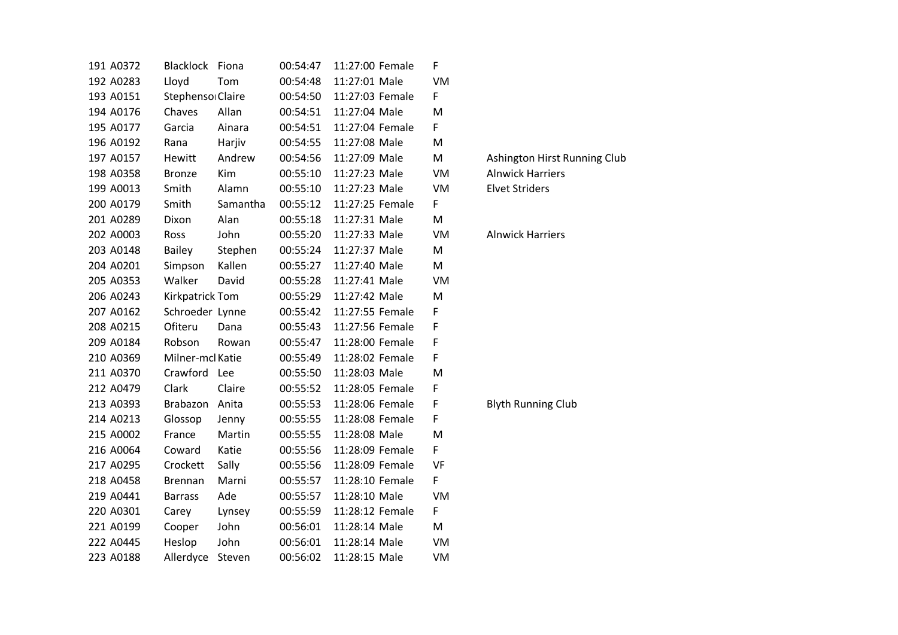|  | 191 A0372 | <b>Blacklock</b>       | Fiona    | 00:54:47 | 11:27:00 Female | F  |
|--|-----------|------------------------|----------|----------|-----------------|----|
|  | 192 A0283 | Lloyd                  | Tom      | 00:54:48 | 11:27:01 Male   | VM |
|  | 193 A0151 | Stephenso Claire       |          | 00:54:50 | 11:27:03 Female | F  |
|  | 194 A0176 | Chaves                 | Allan    | 00:54:51 | 11:27:04 Male   | M  |
|  | 195 A0177 | Garcia                 | Ainara   | 00:54:51 | 11:27:04 Female | F. |
|  | 196 A0192 | Rana                   | Harjiv   | 00:54:55 | 11:27:08 Male   | M  |
|  | 197 A0157 | Hewitt                 | Andrew   | 00:54:56 | 11:27:09 Male   | M  |
|  | 198 A0358 | <b>Bronze</b>          | Kim      | 00:55:10 | 11:27:23 Male   | VM |
|  | 199 A0013 | Smith                  | Alamn    | 00:55:10 | 11:27:23 Male   | VM |
|  | 200 A0179 | Smith                  | Samantha | 00:55:12 | 11:27:25 Female | F  |
|  | 201 A0289 | Dixon                  | Alan     | 00:55:18 | 11:27:31 Male   | M  |
|  | 202 A0003 | Ross                   | John     | 00:55:20 | 11:27:33 Male   | VM |
|  | 203 A0148 | <b>Bailey</b>          | Stephen  | 00:55:24 | 11:27:37 Male   | M  |
|  | 204 A0201 | Simpson                | Kallen   | 00:55:27 | 11:27:40 Male   | M  |
|  | 205 A0353 | Walker                 | David    | 00:55:28 | 11:27:41 Male   | VM |
|  | 206 A0243 | <b>Kirkpatrick Tom</b> |          | 00:55:29 | 11:27:42 Male   | M  |
|  | 207 A0162 | Schroeder Lynne        |          | 00:55:42 | 11:27:55 Female | F  |
|  | 208 A0215 | Ofiteru                | Dana     | 00:55:43 | 11:27:56 Female | F  |
|  | 209 A0184 | Robson                 | Rowan    | 00:55:47 | 11:28:00 Female | F  |
|  | 210 A0369 | Milner-mcl Katie       |          | 00:55:49 | 11:28:02 Female | F. |
|  | 211 A0370 | Crawford               | Lee      | 00:55:50 | 11:28:03 Male   | M  |
|  | 212 A0479 | Clark                  | Claire   | 00:55:52 | 11:28:05 Female | F. |
|  | 213 A0393 | Brabazon               | Anita    | 00:55:53 | 11:28:06 Female | F  |
|  | 214 A0213 | Glossop                | Jenny    | 00:55:55 | 11:28:08 Female | F  |
|  | 215 A0002 | France                 | Martin   | 00:55:55 | 11:28:08 Male   | M  |
|  | 216 A0064 | Coward                 | Katie    | 00:55:56 | 11:28:09 Female | F  |
|  | 217 A0295 | Crockett               | Sally    | 00:55:56 | 11:28:09 Female | VF |
|  | 218 A0458 | <b>Brennan</b>         | Marni    | 00:55:57 | 11:28:10 Female | F  |
|  | 219 A0441 | <b>Barrass</b>         | Ade      | 00:55:57 | 11:28:10 Male   | VM |
|  | 220 A0301 | Carey                  | Lynsey   | 00:55:59 | 11:28:12 Female | F  |
|  | 221 A0199 | Cooper                 | John     | 00:56:01 | 11:28:14 Male   | M  |
|  | 222 A0445 | Heslop                 | John     | 00:56:01 | 11:28:14 Male   | VM |
|  | 223 A0188 | Allerdyce              | Steven   | 00:56:02 | 11:28:15 Male   | VM |

Ashington Hirst Running Club Alnwick Harriers **Elvet Striders** 

# Alnwick Harriers

Blyth Running Club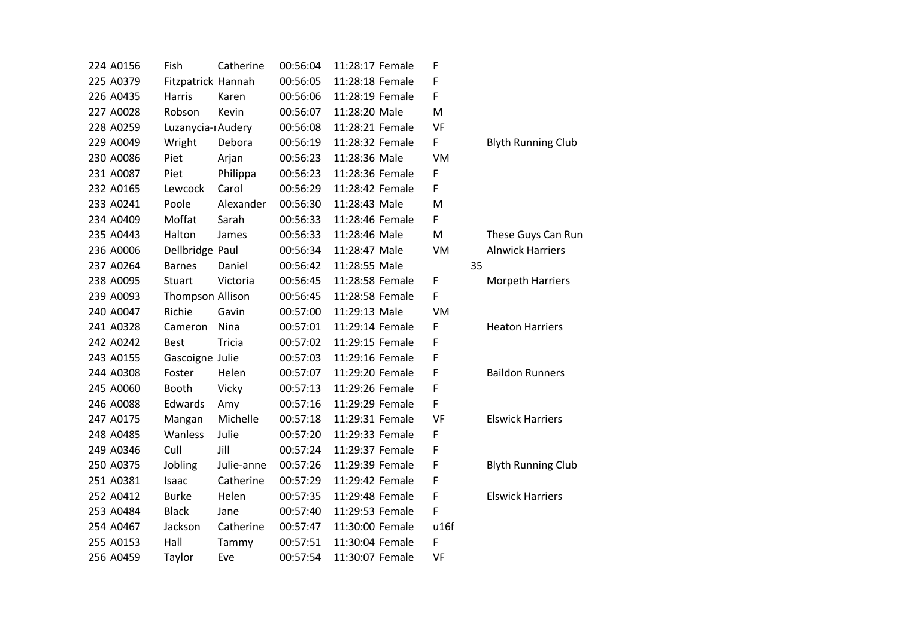| 224 A0156 | Fish<br>Catherine            | 00:56:04 | 11:28:17 Female | F         |    |
|-----------|------------------------------|----------|-----------------|-----------|----|
| 225 A0379 | Fitzpatrick Hannah           | 00:56:05 | 11:28:18 Female | F         |    |
| 226 A0435 | Harris<br>Karen              | 00:56:06 | 11:28:19 Female | F         |    |
| 227 A0028 | Robson<br>Kevin              | 00:56:07 | 11:28:20 Male   | M         |    |
| 228 A0259 | Luzanycia-ı Audery           | 00:56:08 | 11:28:21 Female | VF        |    |
| 229 A0049 | Wright<br>Debora             | 00:56:19 | 11:28:32 Female | F         |    |
| 230 A0086 | Piet<br>Arjan                | 00:56:23 | 11:28:36 Male   | VM        |    |
| 231 A0087 | Piet<br>Philippa             | 00:56:23 | 11:28:36 Female | F         |    |
| 232 A0165 | Carol<br>Lewcock             | 00:56:29 | 11:28:42 Female | F         |    |
| 233 A0241 | Poole<br>Alexander           | 00:56:30 | 11:28:43 Male   | M         |    |
| 234 A0409 | Moffat<br>Sarah              | 00:56:33 | 11:28:46 Female | F         |    |
| 235 A0443 | Halton<br>James              | 00:56:33 | 11:28:46 Male   | M         |    |
| 236 A0006 | Dellbridge Paul              | 00:56:34 | 11:28:47 Male   | VM        |    |
| 237 A0264 | <b>Barnes</b><br>Daniel      | 00:56:42 | 11:28:55 Male   |           | 35 |
| 238 A0095 | <b>Stuart</b><br>Victoria    | 00:56:45 | 11:28:58 Female | F         |    |
| 239 A0093 | Thompson Allison             | 00:56:45 | 11:28:58 Female | F         |    |
| 240 A0047 | Richie<br>Gavin              | 00:57:00 | 11:29:13 Male   | VM        |    |
| 241 A0328 | Nina<br>Cameron              | 00:57:01 | 11:29:14 Female | F         |    |
| 242 A0242 | <b>Tricia</b><br><b>Best</b> | 00:57:02 | 11:29:15 Female | F         |    |
| 243 A0155 | Gascoigne Julie              | 00:57:03 | 11:29:16 Female | F         |    |
| 244 A0308 | Helen<br>Foster              | 00:57:07 | 11:29:20 Female | F         |    |
| 245 A0060 | <b>Booth</b><br>Vicky        | 00:57:13 | 11:29:26 Female | F         |    |
| 246 A0088 | Edwards<br>Amy               | 00:57:16 | 11:29:29 Female | F         |    |
| 247 A0175 | Michelle<br>Mangan           | 00:57:18 | 11:29:31 Female | <b>VF</b> |    |
| 248 A0485 | Wanless<br>Julie             | 00:57:20 | 11:29:33 Female | F         |    |
| 249 A0346 | Jill<br>Cull                 | 00:57:24 | 11:29:37 Female | F         |    |
| 250 A0375 | Jobling<br>Julie-anne        | 00:57:26 | 11:29:39 Female | F         |    |
| 251 A0381 | Catherine<br>Isaac           | 00:57:29 | 11:29:42 Female | F         |    |
| 252 A0412 | <b>Burke</b><br>Helen        | 00:57:35 | 11:29:48 Female | F         |    |
| 253 A0484 | <b>Black</b><br>Jane         | 00:57:40 | 11:29:53 Female | F         |    |
| 254 A0467 | Jackson<br>Catherine         | 00:57:47 | 11:30:00 Female | u16f      |    |
| 255 A0153 | Hall<br>Tammy                | 00:57:51 | 11:30:04 Female | F         |    |
| 256 A0459 | Taylor<br>Eve                | 00:57:54 | 11:30:07 Female | VF        |    |

# Blyth Running Club

# These Guys Can Run Alnwick Harriers

Morpeth Harriers

#### Heaton Harriers

**Baildon Runners** 

# **Elswick Harriers**

Blyth Running Club

## Elswick Harriers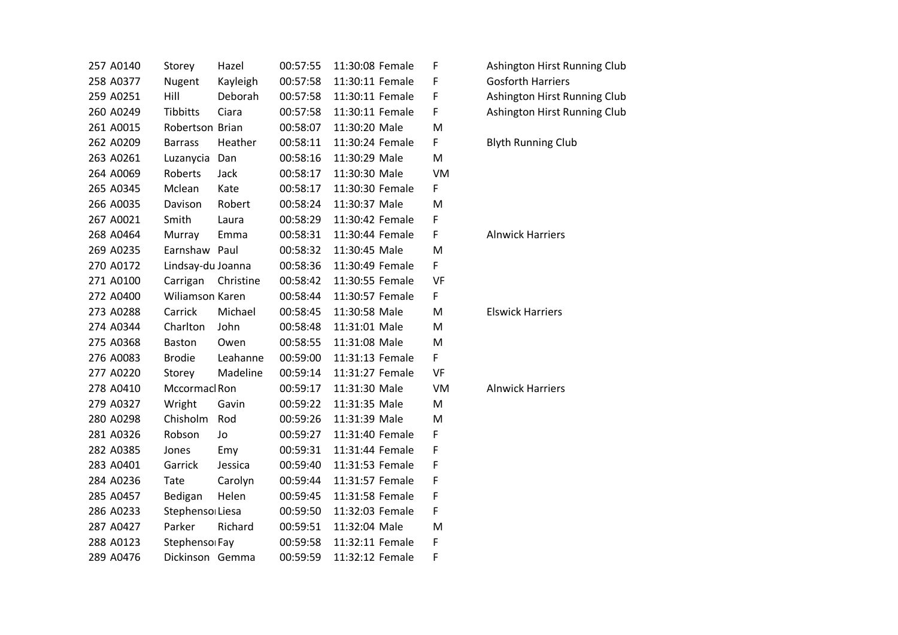| 257 A0140 | Storey            | Hazel     | 00:57:55 | 11:30:08 Female | F         |
|-----------|-------------------|-----------|----------|-----------------|-----------|
| 258 A0377 | <b>Nugent</b>     | Kayleigh  | 00:57:58 | 11:30:11 Female | F         |
| 259 A0251 | Hill              | Deborah   | 00:57:58 | 11:30:11 Female | F         |
| 260 A0249 | <b>Tibbitts</b>   | Ciara     | 00:57:58 | 11:30:11 Female | F         |
| 261 A0015 | Robertson Brian   |           | 00:58:07 | 11:30:20 Male   | M         |
| 262 A0209 | <b>Barrass</b>    | Heather   | 00:58:11 | 11:30:24 Female | F.        |
| 263 A0261 | Luzanycia         | Dan       | 00:58:16 | 11:30:29 Male   | M         |
| 264 A0069 | Roberts           | Jack      | 00:58:17 | 11:30:30 Male   | VM        |
| 265 A0345 | Mclean            | Kate      | 00:58:17 | 11:30:30 Female | F         |
| 266 A0035 | Davison           | Robert    | 00:58:24 | 11:30:37 Male   | M         |
| 267 A0021 | Smith             | Laura     | 00:58:29 | 11:30:42 Female | F         |
| 268 A0464 | Murray            | Emma      | 00:58:31 | 11:30:44 Female | F         |
| 269 A0235 | Earnshaw          | Paul      | 00:58:32 | 11:30:45 Male   | M         |
| 270 A0172 | Lindsay-du Joanna |           | 00:58:36 | 11:30:49 Female | F         |
| 271 A0100 | Carrigan          | Christine | 00:58:42 | 11:30:55 Female | VF        |
| 272 A0400 | Wiliamson Karen   |           | 00:58:44 | 11:30:57 Female | F.        |
| 273 A0288 | Carrick           | Michael   | 00:58:45 | 11:30:58 Male   | M         |
| 274 A0344 | Charlton          | John      | 00:58:48 | 11:31:01 Male   | M         |
| 275 A0368 | <b>Baston</b>     | Owen      | 00:58:55 | 11:31:08 Male   | M         |
| 276 A0083 | <b>Brodie</b>     | Leahanne  | 00:59:00 | 11:31:13 Female | F         |
| 277 A0220 | Storey            | Madeline  | 00:59:14 | 11:31:27 Female | <b>VF</b> |
| 278 A0410 | Mccormacl Ron     |           | 00:59:17 | 11:31:30 Male   | VM        |
| 279 A0327 | Wright            | Gavin     | 00:59:22 | 11:31:35 Male   | M         |
| 280 A0298 | Chisholm          | Rod       | 00:59:26 | 11:31:39 Male   | M         |
| 281 A0326 | Robson            | Jo        | 00:59:27 | 11:31:40 Female | F         |
| 282 A0385 | Jones             | Emy       | 00:59:31 | 11:31:44 Female | F         |
| 283 A0401 | Garrick           | Jessica   | 00:59:40 | 11:31:53 Female | F         |
| 284 A0236 | Tate              | Carolyn   | 00:59:44 | 11:31:57 Female | F         |
| 285 A0457 | Bedigan           | Helen     | 00:59:45 | 11:31:58 Female | F         |
| 286 A0233 | Stephenso Liesa   |           | 00:59:50 | 11:32:03 Female | F         |
| 287 A0427 | Parker            | Richard   | 00:59:51 | 11:32:04 Male   | M         |
| 288 A0123 | Stephensol Fay    |           | 00:59:58 | 11:32:11 Female | F         |
| 289 A0476 | Dickinson Gemma   |           | 00:59:59 | 11:32:12 Female | F         |

Ashington Hirst Running Club Gosforth Harriers Ashington Hirst Running Club Ashington Hirst Running Club

## Blyth Running Club

Alnwick Harriers

Elswick Harriers

Alnwick Harriers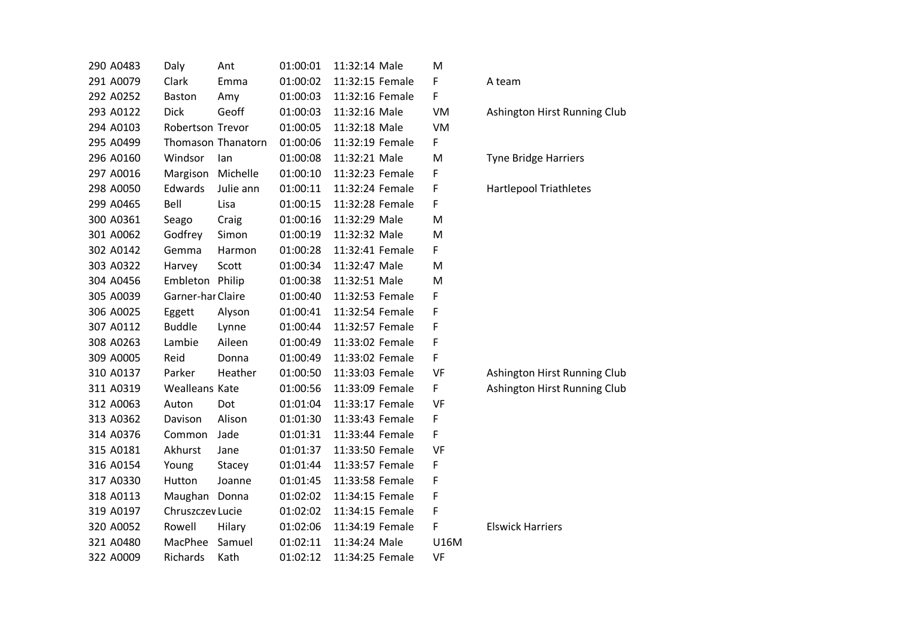| 290 A0483 | Daly                  | Ant                | 01:00:01 | 11:32:14 Male   | M    |                               |
|-----------|-----------------------|--------------------|----------|-----------------|------|-------------------------------|
| 291 A0079 | Clark                 | Emma               | 01:00:02 | 11:32:15 Female | F    | A team                        |
| 292 A0252 | <b>Baston</b>         | Amy                | 01:00:03 | 11:32:16 Female | F    |                               |
| 293 A0122 | <b>Dick</b>           | Geoff              | 01:00:03 | 11:32:16 Male   | VM   | Ashington Hirst Running Club  |
| 294 A0103 | Robertson Trevor      |                    | 01:00:05 | 11:32:18 Male   | VM   |                               |
| 295 A0499 |                       | Thomason Thanatorn | 01:00:06 | 11:32:19 Female | F    |                               |
| 296 A0160 | Windsor               | lan                | 01:00:08 | 11:32:21 Male   | M    | <b>Tyne Bridge Harriers</b>   |
| 297 A0016 | Margison              | Michelle           | 01:00:10 | 11:32:23 Female | F    |                               |
| 298 A0050 | Edwards               | Julie ann          | 01:00:11 | 11:32:24 Female | F    | <b>Hartlepool Triathletes</b> |
| 299 A0465 | Bell                  | Lisa               | 01:00:15 | 11:32:28 Female | F    |                               |
| 300 A0361 | Seago                 | Craig              | 01:00:16 | 11:32:29 Male   | M    |                               |
| 301 A0062 | Godfrey               | Simon              | 01:00:19 | 11:32:32 Male   | M    |                               |
| 302 A0142 | Gemma                 | Harmon             | 01:00:28 | 11:32:41 Female | F    |                               |
| 303 A0322 | Harvey                | Scott              | 01:00:34 | 11:32:47 Male   | M    |                               |
| 304 A0456 | Embleton Philip       |                    | 01:00:38 | 11:32:51 Male   | M    |                               |
| 305 A0039 | Garner-har Claire     |                    | 01:00:40 | 11:32:53 Female | F    |                               |
| 306 A0025 | Eggett                | Alyson             | 01:00:41 | 11:32:54 Female | F    |                               |
| 307 A0112 | <b>Buddle</b>         | Lynne              | 01:00:44 | 11:32:57 Female | F    |                               |
| 308 A0263 | Lambie                | Aileen             | 01:00:49 | 11:33:02 Female | F    |                               |
| 309 A0005 | Reid                  | Donna              | 01:00:49 | 11:33:02 Female | F    |                               |
| 310 A0137 | Parker                | Heather            | 01:00:50 | 11:33:03 Female | VF   | Ashington Hirst Running Club  |
| 311 A0319 | <b>Wealleans Kate</b> |                    | 01:00:56 | 11:33:09 Female | F    | Ashington Hirst Running Club  |
| 312 A0063 | Auton                 | Dot                | 01:01:04 | 11:33:17 Female | VF   |                               |
| 313 A0362 | Davison               | Alison             | 01:01:30 | 11:33:43 Female | F    |                               |
| 314 A0376 | Common                | Jade               | 01:01:31 | 11:33:44 Female | F    |                               |
| 315 A0181 | Akhurst               | Jane               | 01:01:37 | 11:33:50 Female | VF   |                               |
| 316 A0154 | Young                 | Stacey             | 01:01:44 | 11:33:57 Female | F    |                               |
| 317 A0330 | Hutton                | Joanne             | 01:01:45 | 11:33:58 Female | F    |                               |
| 318 A0113 | Maughan Donna         |                    | 01:02:02 | 11:34:15 Female | F    |                               |
| 319 A0197 | Chruszczev Lucie      |                    | 01:02:02 | 11:34:15 Female | F    |                               |
| 320 A0052 | Rowell                | Hilary             | 01:02:06 | 11:34:19 Female | F    | <b>Elswick Harriers</b>       |
| 321 A0480 | MacPhee               | Samuel             | 01:02:11 | 11:34:24 Male   | U16M |                               |
| 322 A0009 | Richards              | Kath               | 01:02:12 | 11:34:25 Female | VF   |                               |
|           |                       |                    |          |                 |      |                               |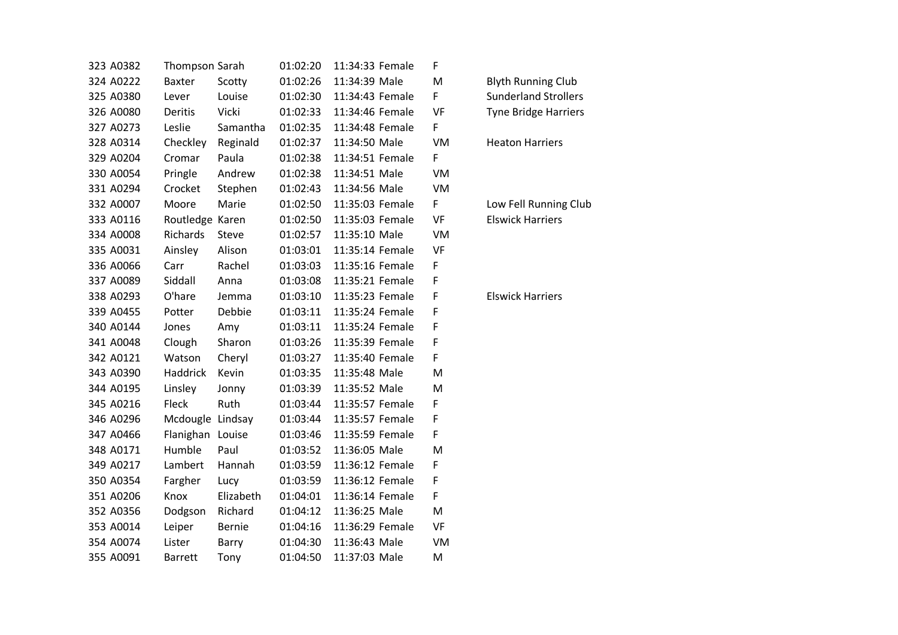| 323 A0382 | Thompson Sarah   |               | 01:02:20 | 11:34:33 Female | F            |                             |
|-----------|------------------|---------------|----------|-----------------|--------------|-----------------------------|
| 324 A0222 | Baxter           | Scotty        | 01:02:26 | 11:34:39 Male   | M            | <b>Blyth Running Club</b>   |
| 325 A0380 | Lever            | Louise        | 01:02:30 | 11:34:43 Female | F            | <b>Sunderland Strollers</b> |
| 326 A0080 | Deritis          | Vicki         | 01:02:33 | 11:34:46 Female | VF           | <b>Tyne Bridge Harriers</b> |
| 327 A0273 | Leslie           | Samantha      | 01:02:35 | 11:34:48 Female | F            |                             |
| 328 A0314 | Checkley         | Reginald      | 01:02:37 | 11:34:50 Male   | VM           | <b>Heaton Harriers</b>      |
| 329 A0204 | Cromar           | Paula         | 01:02:38 | 11:34:51 Female | F            |                             |
| 330 A0054 | Pringle          | Andrew        | 01:02:38 | 11:34:51 Male   | VM           |                             |
| 331 A0294 | Crocket          | Stephen       | 01:02:43 | 11:34:56 Male   | <b>VM</b>    |                             |
| 332 A0007 | Moore            | Marie         | 01:02:50 | 11:35:03 Female | F            | Low Fell Running Clu        |
| 333 A0116 | Routledge Karen  |               | 01:02:50 | 11:35:03 Female | VF           | <b>Elswick Harriers</b>     |
| 334 A0008 | Richards         | Steve         | 01:02:57 | 11:35:10 Male   | <b>VM</b>    |                             |
| 335 A0031 | Ainsley          | Alison        | 01:03:01 | 11:35:14 Female | VF           |                             |
| 336 A0066 | Carr             | Rachel        | 01:03:03 | 11:35:16 Female | F            |                             |
| 337 A0089 | Siddall          | Anna          | 01:03:08 | 11:35:21 Female | F            |                             |
| 338 A0293 | O'hare           | Jemma         | 01:03:10 | 11:35:23 Female | F            | <b>Elswick Harriers</b>     |
| 339 A0455 | Potter           | Debbie        | 01:03:11 | 11:35:24 Female | F            |                             |
| 340 A0144 | Jones            | Amy           | 01:03:11 | 11:35:24 Female | $\mathsf{F}$ |                             |
| 341 A0048 | Clough           | Sharon        | 01:03:26 | 11:35:39 Female | $\mathsf F$  |                             |
| 342 A0121 | Watson           | Cheryl        | 01:03:27 | 11:35:40 Female | F            |                             |
| 343 A0390 | Haddrick         | Kevin         | 01:03:35 | 11:35:48 Male   | M            |                             |
| 344 A0195 | Linsley          | Jonny         | 01:03:39 | 11:35:52 Male   | M            |                             |
| 345 A0216 | Fleck            | Ruth          | 01:03:44 | 11:35:57 Female | F            |                             |
| 346 A0296 | Mcdougle Lindsay |               | 01:03:44 | 11:35:57 Female | F            |                             |
| 347 A0466 | Flanighan Louise |               | 01:03:46 | 11:35:59 Female | F            |                             |
| 348 A0171 | Humble           | Paul          | 01:03:52 | 11:36:05 Male   | M            |                             |
| 349 A0217 | Lambert          | Hannah        | 01:03:59 | 11:36:12 Female | F            |                             |
| 350 A0354 | Fargher          | Lucy          | 01:03:59 | 11:36:12 Female | F            |                             |
| 351 A0206 | Knox             | Elizabeth     | 01:04:01 | 11:36:14 Female | F            |                             |
| 352 A0356 | Dodgson          | Richard       | 01:04:12 | 11:36:25 Male   | M            |                             |
| 353 A0014 | Leiper           | <b>Bernie</b> | 01:04:16 | 11:36:29 Female | VF           |                             |
| 354 A0074 | Lister           | Barry         | 01:04:30 | 11:36:43 Male   | VM           |                             |
| 355 A0091 | <b>Barrett</b>   | Tony          | 01:04:50 | 11:37:03 Male   | M            |                             |

| <b>Blyth Running Club</b>   |
|-----------------------------|
| <b>Sunderland Strollers</b> |
| <b>Tyne Bridge Harriers</b> |

Low Fell Running Club Elswick Harriers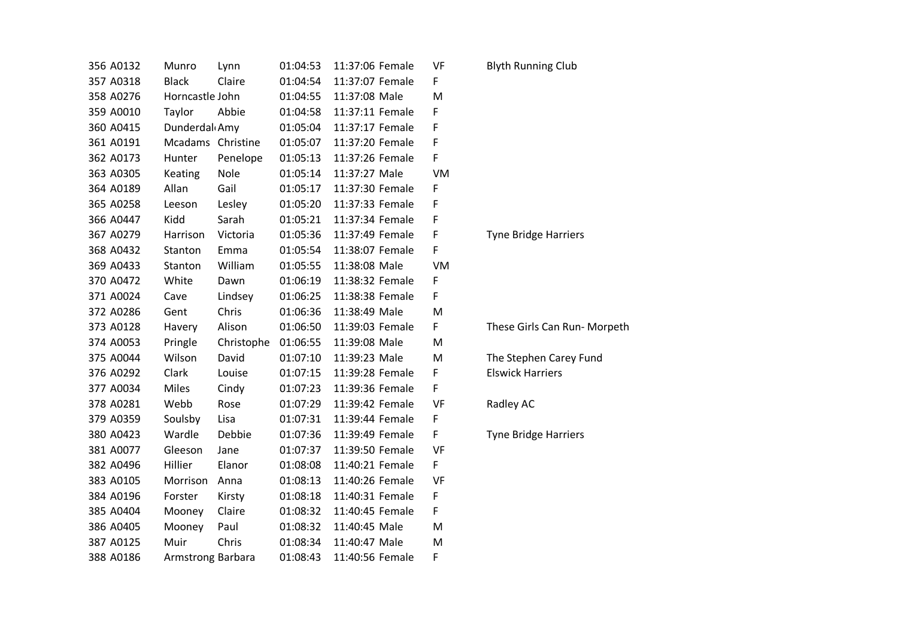| 356 A0132 | Munro                      | Lynn       | 01:04:53 | 11:37:06 Female | VF |
|-----------|----------------------------|------------|----------|-----------------|----|
| 357 A0318 | <b>Black</b>               | Claire     | 01:04:54 | 11:37:07 Female | F  |
| 358 A0276 | Horncastle John            |            | 01:04:55 | 11:37:08 Male   | M  |
| 359 A0010 | Taylor                     | Abbie      | 01:04:58 | 11:37:11 Female | F  |
| 360 A0415 | Dunderdal <sub>d</sub> Amy |            | 01:05:04 | 11:37:17 Female | F  |
| 361 A0191 | Mcadams                    | Christine  | 01:05:07 | 11:37:20 Female | F  |
| 362 A0173 | Hunter                     | Penelope   | 01:05:13 | 11:37:26 Female | F  |
| 363 A0305 | Keating                    | Nole       | 01:05:14 | 11:37:27 Male   | VM |
| 364 A0189 | Allan                      | Gail       | 01:05:17 | 11:37:30 Female | F  |
| 365 A0258 | Leeson                     | Lesley     | 01:05:20 | 11:37:33 Female | F  |
| 366 A0447 | Kidd                       | Sarah      | 01:05:21 | 11:37:34 Female | F  |
| 367 A0279 | Harrison                   | Victoria   | 01:05:36 | 11:37:49 Female | F  |
| 368 A0432 | Stanton                    | Emma       | 01:05:54 | 11:38:07 Female | F  |
| 369 A0433 | Stanton                    | William    | 01:05:55 | 11:38:08 Male   | VM |
| 370 A0472 | White                      | Dawn       | 01:06:19 | 11:38:32 Female | F  |
| 371 A0024 | Cave                       | Lindsey    | 01:06:25 | 11:38:38 Female | F  |
| 372 A0286 | Gent                       | Chris      | 01:06:36 | 11:38:49 Male   | M  |
| 373 A0128 | Havery                     | Alison     | 01:06:50 | 11:39:03 Female | F  |
| 374 A0053 | Pringle                    | Christophe | 01:06:55 | 11:39:08 Male   | M  |
| 375 A0044 | Wilson                     | David      | 01:07:10 | 11:39:23 Male   | M  |
| 376 A0292 | Clark                      | Louise     | 01:07:15 | 11:39:28 Female | F  |
| 377 A0034 | <b>Miles</b>               | Cindy      | 01:07:23 | 11:39:36 Female | F  |
| 378 A0281 | Webb                       | Rose       | 01:07:29 | 11:39:42 Female | VF |
| 379 A0359 | Soulsby                    | Lisa       | 01:07:31 | 11:39:44 Female | F  |
| 380 A0423 | Wardle                     | Debbie     | 01:07:36 | 11:39:49 Female | F  |
| 381 A0077 | Gleeson                    | Jane       | 01:07:37 | 11:39:50 Female | VF |
| 382 A0496 | Hillier                    | Elanor     | 01:08:08 | 11:40:21 Female | F  |
| 383 A0105 | Morrison                   | Anna       | 01:08:13 | 11:40:26 Female | VF |
| 384 A0196 | Forster                    | Kirsty     | 01:08:18 | 11:40:31 Female | F  |
| 385 A0404 | Mooney                     | Claire     | 01:08:32 | 11:40:45 Female | F  |
| 386 A0405 | Mooney                     | Paul       | 01:08:32 | 11:40:45 Male   | M  |
| 387 A0125 | Muir                       | Chris      | 01:08:34 | 11:40:47 Male   | M  |
| 388 A0186 | <b>Armstrong Barbara</b>   |            | 01:08:43 | 11:40:56 Female | F  |

Blyth Running Club

Tyne Bridge Harriers

These Girls Can Run- Morpeth

The Stephen Carey Fund Elswick Harriers

Radley AC

Tyne Bridge Harriers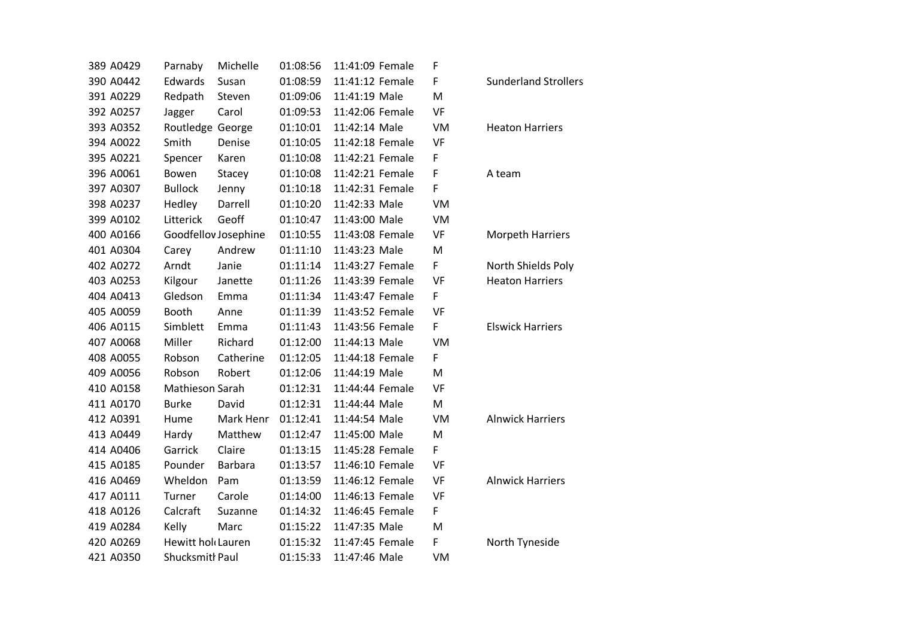| 389 A0429 | Parnaby           | Michelle             | 01:08:56 | 11:41:09 Female | F         |                    |
|-----------|-------------------|----------------------|----------|-----------------|-----------|--------------------|
| 390 A0442 | Edwards           | Susan                | 01:08:59 | 11:41:12 Female | F         | Sunder             |
| 391 A0229 | Redpath           | Steven               | 01:09:06 | 11:41:19 Male   | M         |                    |
| 392 A0257 | Jagger            | Carol                | 01:09:53 | 11:42:06 Female | VF        |                    |
| 393 A0352 | Routledge George  |                      | 01:10:01 | 11:42:14 Male   | VM        | Heaton             |
| 394 A0022 | Smith             | Denise               | 01:10:05 | 11:42:18 Female | VF        |                    |
| 395 A0221 | Spencer           | Karen                | 01:10:08 | 11:42:21 Female | F         |                    |
| 396 A0061 | Bowen             | Stacey               | 01:10:08 | 11:42:21 Female | F         | A team             |
| 397 A0307 | <b>Bullock</b>    | Jenny                | 01:10:18 | 11:42:31 Female | F         |                    |
| 398 A0237 | Hedley            | Darrell              | 01:10:20 | 11:42:33 Male   | VM        |                    |
| 399 A0102 | Litterick         | Geoff                | 01:10:47 | 11:43:00 Male   | VM        |                    |
| 400 A0166 |                   | Goodfellov Josephine | 01:10:55 | 11:43:08 Female | VF        | Morpet             |
| 401 A0304 | Carey             | Andrew               | 01:11:10 | 11:43:23 Male   | M         |                    |
| 402 A0272 | Arndt             | Janie                | 01:11:14 | 11:43:27 Female | F         | North S            |
| 403 A0253 | Kilgour           | Janette              | 01:11:26 | 11:43:39 Female | <b>VF</b> | Heaton             |
| 404 A0413 | Gledson           | Emma                 | 01:11:34 | 11:43:47 Female | F         |                    |
| 405 A0059 | <b>Booth</b>      | Anne                 | 01:11:39 | 11:43:52 Female | VF        |                    |
| 406 A0115 | Simblett          | Emma                 | 01:11:43 | 11:43:56 Female | F         | Elswick            |
| 407 A0068 | Miller            | Richard              | 01:12:00 | 11:44:13 Male   | VM        |                    |
| 408 A0055 | Robson            | Catherine            | 01:12:05 | 11:44:18 Female | F         |                    |
| 409 A0056 | Robson            | Robert               | 01:12:06 | 11:44:19 Male   | M         |                    |
| 410 A0158 | Mathieson Sarah   |                      | 01:12:31 | 11:44:44 Female | VF        |                    |
| 411 A0170 | <b>Burke</b>      | David                | 01:12:31 | 11:44:44 Male   | M         |                    |
| 412 A0391 | Hume              | Mark Henr            | 01:12:41 | 11:44:54 Male   | VM        | Alnwicl            |
| 413 A0449 | Hardy             | Matthew              | 01:12:47 | 11:45:00 Male   | M         |                    |
| 414 A0406 | Garrick           | Claire               | 01:13:15 | 11:45:28 Female | F         |                    |
| 415 A0185 | Pounder           | <b>Barbara</b>       | 01:13:57 | 11:46:10 Female | VF        |                    |
| 416 A0469 | Wheldon           | Pam                  | 01:13:59 | 11:46:12 Female | VF        | Alnwicl            |
| 417 A0111 | Turner            | Carole               | 01:14:00 | 11:46:13 Female | VF        |                    |
| 418 A0126 | Calcraft          | Suzanne              | 01:14:32 | 11:46:45 Female | F         |                    |
| 419 A0284 | Kelly             | Marc                 | 01:15:22 | 11:47:35 Male   | M         |                    |
| 420 A0269 | Hewitt hol Lauren |                      | 01:15:32 | 11:47:45 Female | F         | North <sub>1</sub> |
| 421 A0350 | Shucksmith Paul   |                      | 01:15:33 | 11:47:46 Male   | VM        |                    |

Sunderland Strollers

### Heaton Harriers

## Morpeth Harriers

North Shields Poly Heaton Harriers

**Elswick Harriers** 

Alnwick Harriers

Alnwick Harriers

North Tyneside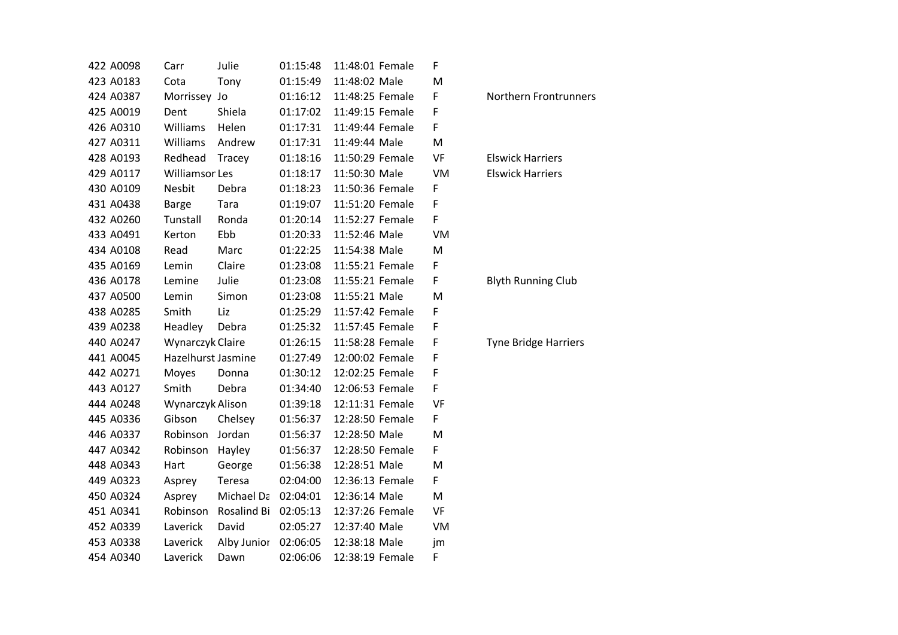| 422 A0098 | Carr                  | Julie       | 01:15:48 | 11:48:01 Female | F  |
|-----------|-----------------------|-------------|----------|-----------------|----|
| 423 A0183 | Cota                  | Tony        | 01:15:49 | 11:48:02 Male   | M  |
| 424 A0387 | Morrissey             | Jo          | 01:16:12 | 11:48:25 Female | F  |
| 425 A0019 | Dent                  | Shiela      | 01:17:02 | 11:49:15 Female | F  |
| 426 A0310 | Williams              | Helen       | 01:17:31 | 11:49:44 Female | F  |
| 427 A0311 | Williams              | Andrew      | 01:17:31 | 11:49:44 Male   | M  |
| 428 A0193 | Redhead               | Tracey      | 01:18:16 | 11:50:29 Female | VF |
| 429 A0117 | <b>Williamsor Les</b> |             | 01:18:17 | 11:50:30 Male   | VM |
| 430 A0109 | Nesbit                | Debra       | 01:18:23 | 11:50:36 Female | F  |
| 431 A0438 | <b>Barge</b>          | Tara        | 01:19:07 | 11:51:20 Female | F  |
| 432 A0260 | Tunstall              | Ronda       | 01:20:14 | 11:52:27 Female | F  |
| 433 A0491 | Kerton                | Ebb         | 01:20:33 | 11:52:46 Male   | VM |
| 434 A0108 | Read                  | Marc        | 01:22:25 | 11:54:38 Male   | M  |
| 435 A0169 | Lemin                 | Claire      | 01:23:08 | 11:55:21 Female | F  |
| 436 A0178 | Lemine                | Julie       | 01:23:08 | 11:55:21 Female | F  |
| 437 A0500 | Lemin                 | Simon       | 01:23:08 | 11:55:21 Male   | M  |
| 438 A0285 | Smith                 | Liz         | 01:25:29 | 11:57:42 Female | F  |
| 439 A0238 | Headley               | Debra       | 01:25:32 | 11:57:45 Female | F  |
| 440 A0247 | Wynarczyk Claire      |             | 01:26:15 | 11:58:28 Female | F  |
| 441 A0045 | Hazelhurst Jasmine    |             | 01:27:49 | 12:00:02 Female | F  |
| 442 A0271 | Moyes                 | Donna       | 01:30:12 | 12:02:25 Female | F  |
| 443 A0127 | Smith                 | Debra       | 01:34:40 | 12:06:53 Female | F  |
| 444 A0248 | Wynarczyk Alison      |             | 01:39:18 | 12:11:31 Female | VF |
| 445 A0336 | Gibson                | Chelsey     | 01:56:37 | 12:28:50 Female | F  |
| 446 A0337 | Robinson              | Jordan      | 01:56:37 | 12:28:50 Male   | M  |
| 447 A0342 | Robinson              | Hayley      | 01:56:37 | 12:28:50 Female | F  |
| 448 A0343 | Hart                  | George      | 01:56:38 | 12:28:51 Male   | M  |
| 449 A0323 | Asprey                | Teresa      | 02:04:00 | 12:36:13 Female | F  |
| 450 A0324 | Asprey                | Michael Da  | 02:04:01 | 12:36:14 Male   | M  |
| 451 A0341 | Robinson              | Rosalind Bi | 02:05:13 | 12:37:26 Female | VF |
| 452 A0339 | Laverick              | David       | 02:05:27 | 12:37:40 Male   | VM |
| 453 A0338 | Laverick              | Alby Junior | 02:06:05 | 12:38:18 Male   | jm |
| 454 A0340 | Laverick              | Dawn        | 02:06:06 | 12:38:19 Female | F  |

Northern Frontrunners

**Elswick Harriers Elswick Harriers** 

Blyth Running Club

Tyne Bridge Harriers